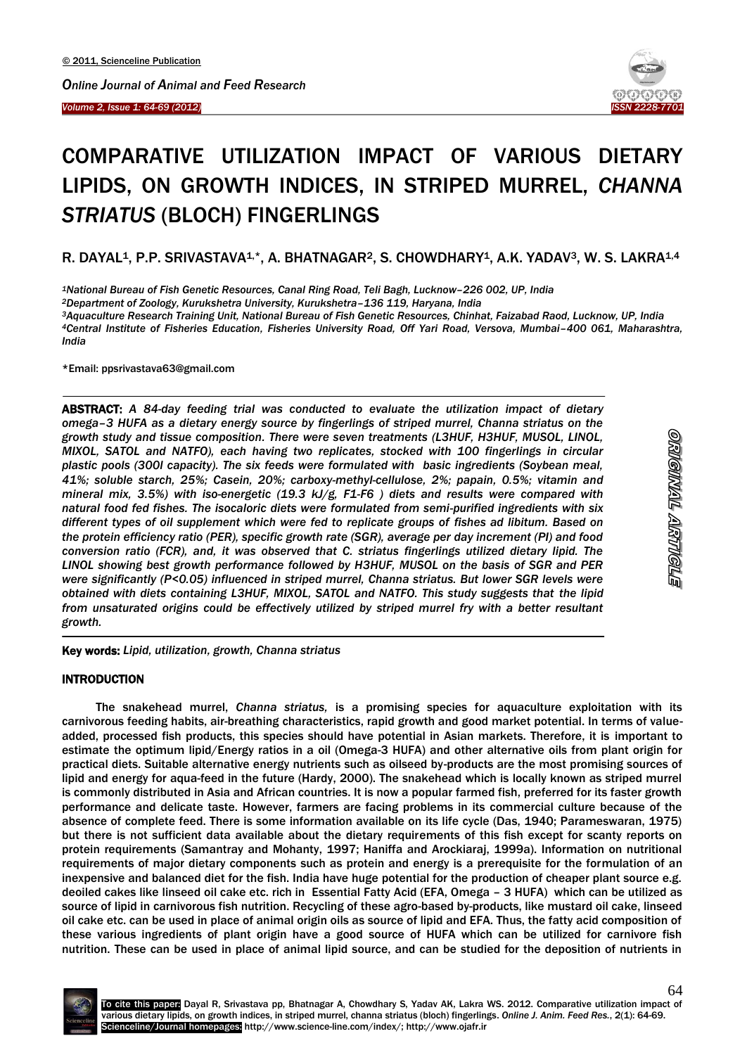*Volume 2, Issue 1: 64-69 (2012)*  İ



# COMPARATIVE UTILIZATION IMPACT OF VARIOUS DIETARY LIPIDS, ON GROWTH INDICES, IN STRIPED MURREL, *CHANNA STRIATUS* (BLOCH) FINGERLINGS

R. DAYAL<sup>1</sup>, P.P. SRIVASTAVA<sup>1,\*</sup>, A. BHATNAGAR<sup>2</sup>, S. CHOWDHARY<sup>1</sup>, A.K. YADAV<sup>3</sup>, W. S. LAKRA<sup>1,4</sup>

*<sup>1</sup>National Bureau of Fish Genetic Resources, Canal Ring Road, Teli Bagh, Lucknow–226 002, UP, India*

*<sup>2</sup>Department of Zoology, Kurukshetra University, Kurukshetra–136 119, Haryana, India*

*<sup>3</sup>Aquaculture Research Training Unit, National Bureau of Fish Genetic Resources, Chinhat, Faizabad Raod, Lucknow, UP, India <sup>4</sup>Central Institute of Fisheries Education, Fisheries University Road, Off Yari Road, Versova, Mumbai–400 061, Maharashtra, India*

\*Email: ppsrivastava63@gmail.com

 $\overline{\phantom{a}}$ 

ABSTRACT: *A 84-day feeding trial was conducted to evaluate the utilization impact of dietary omega–3 HUFA as a dietary energy source by fingerlings of striped murrel, Channa striatus on the growth study and tissue composition. There were seven treatments (L3HUF, H3HUF, MUSOL, LINOL, MIXOL, SATOL and NATFO), each having two replicates, stocked with 100 fingerlings in circular plastic pools (300l capacity). The six feeds were formulated with basic ingredients (Soybean meal, 41%; soluble starch, 25%; Casein, 20%; carboxy-methyl-cellulose, 2%; papain, 0.5%; vitamin and mineral mix, 3.5%) with iso-energetic (19.3 kJ/g, F1-F6 ) diets and results were compared with natural food fed fishes. The isocaloric diets were formulated from semi-purified ingredients with six different types of oil supplement which were fed to replicate groups of fishes ad libitum. Based on the protein efficiency ratio (PER), specific growth rate (SGR), average per day increment (PI) and food conversion ratio (FCR), and, it was observed that C. striatus fingerlings utilized dietary lipid. The LINOL showing best growth performance followed by H3HUF, MUSOL on the basis of SGR and PER were significantly (P<0.05) influenced in striped murrel, Channa striatus. But lower SGR levels were obtained with diets containing L3HUF, MIXOL, SATOL and NATFO. This study suggests that the lipid from unsaturated origins could be effectively utilized by striped murrel fry with a better resultant growth.* 

Key words: *Lipid, utilization, growth, Channa striatus*

## **INTRODUCTION**

 $\overline{a}$ 

The snakehead murrel, *Channa striatus,* is a promising species for aquaculture exploitation with its carnivorous feeding habits, air-breathing characteristics, rapid growth and good market potential. In terms of valueadded, processed fish products, this species should have potential in Asian markets. Therefore, it is important to estimate the optimum lipid/Energy ratios in a oil (Omega-3 HUFA) and other alternative oils from plant origin for practical diets. Suitable alternative energy nutrients such as oilseed by-products are the most promising sources of lipid and energy for aqua-feed in the future (Hardy, 2000). The snakehead which is locally known as striped murrel is commonly distributed in Asia and African countries. It is now a popular farmed fish, preferred for its faster growth performance and delicate taste. However, farmers are facing problems in its commercial culture because of the absence of complete feed. There is some information available on its life cycle (Das, 1940; Parameswaran, 1975) but there is not sufficient data available about the dietary requirements of this fish except for scanty reports on protein requirements (Samantray and Mohanty, 1997; Haniffa and Arockiaraj, 1999a). Information on nutritional requirements of major dietary components such as protein and energy is a prerequisite for the formulation of an inexpensive and balanced diet for the fish. India have huge potential for the production of cheaper plant source e.g. deoiled cakes like linseed oil cake etc. rich in Essential Fatty Acid (EFA, Omega – 3 HUFA) which can be utilized as source of lipid in carnivorous fish nutrition. Recycling of these agro-based by-products, like mustard oil cake, linseed oil cake etc. can be used in place of animal origin oils as source of lipid and EFA. Thus, the fatty acid composition of these various ingredients of plant origin have a good source of HUFA which can be utilized for carnivore fish nutrition. These can be used in place of animal lipid source, and can be studied for the deposition of nutrients in

64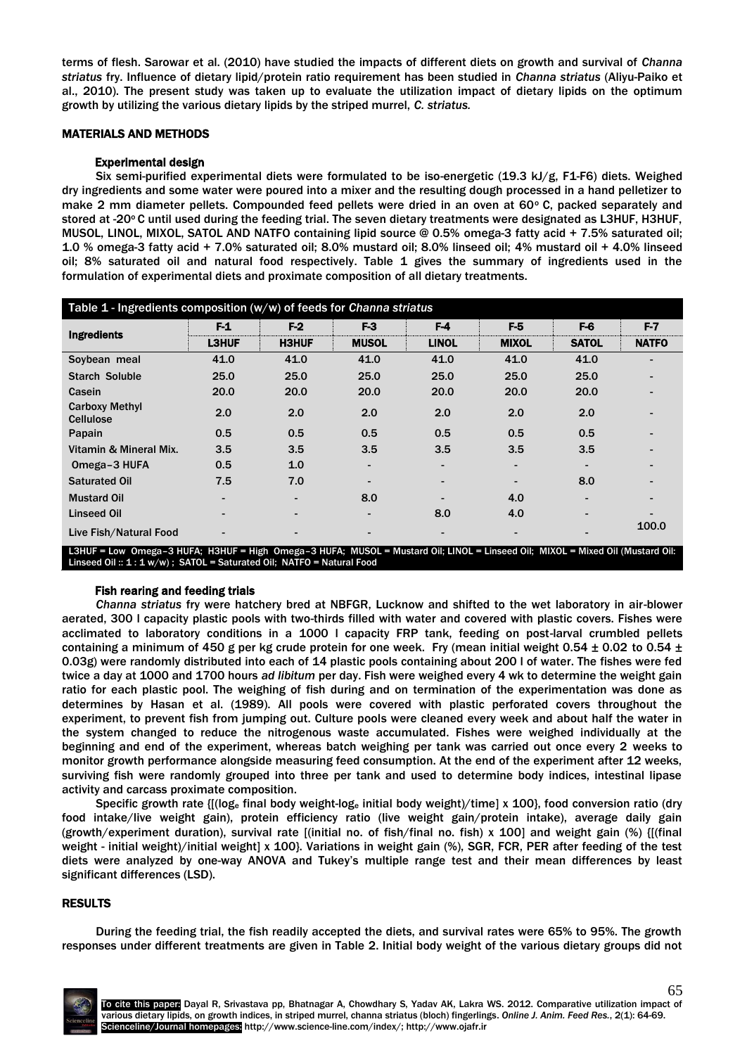terms of flesh. Sarowar et al. (2010) have studied the impacts of different diets on growth and survival of *Channa striatus* fry. Influence of dietary lipid/protein ratio requirement has been studied in *Channa striatus* (Aliyu-Paiko et al., 2010). The present study was taken up to evaluate the utilization impact of dietary lipids on the optimum growth by utilizing the various dietary lipids by the striped murrel, *C. striatus.*

## MATERIALS AND METHODS

### Experimental design

Six semi-purified experimental diets were formulated to be iso-energetic (19.3 kJ/g, F1-F6) diets. Weighed dry ingredients and some water were poured into a mixer and the resulting dough processed in a hand pelletizer to make 2 mm diameter pellets. Compounded feed pellets were dried in an oven at  $60^{\circ}$  C, packed separately and stored at -20°C until used during the feeding trial. The seven dietary treatments were designated as L3HUF, H3HUF, MUSOL, LINOL, MIXOL, SATOL AND NATFO containing lipid source @ 0.5% omega-3 fatty acid + 7.5% saturated oil; 1.0 % omega-3 fatty acid + 7.0% saturated oil; 8.0% mustard oil; 8.0% linseed oil; 4% mustard oil + 4.0% linseed oil; 8% saturated oil and natural food respectively. Table 1 gives the summary of ingredients used in the formulation of experimental diets and proximate composition of all dietary treatments.

| Table $1$ - Ingredients composition ( $w/w$ ) of feeds for <i>Channa striatus</i>                                                                                                                      |              |              |              |              |                          |              |              |  |
|--------------------------------------------------------------------------------------------------------------------------------------------------------------------------------------------------------|--------------|--------------|--------------|--------------|--------------------------|--------------|--------------|--|
| <b>Ingredients</b>                                                                                                                                                                                     | F1           | $F-2$        | F3           | F-4          | F-5                      | F-6          | F-7          |  |
|                                                                                                                                                                                                        | <b>L3HUF</b> | <b>H3HUF</b> | <b>MUSOL</b> | <b>LINOL</b> | <b>MIXOL</b>             | <b>SATOL</b> | <b>NATFO</b> |  |
| Soybean meal                                                                                                                                                                                           | 41.0         | 41.0         | 41.0         | 41.0         | 41.0                     | 41.0         |              |  |
| <b>Starch Soluble</b>                                                                                                                                                                                  | 25.0         | 25.0         | 25.0         | 25.0         | 25.0                     | 25.0         |              |  |
| Casein                                                                                                                                                                                                 | 20.0         | 20.0         | 20.0         | 20.0         | 20.0                     | 20.0         |              |  |
| <b>Carboxy Methyl</b><br><b>Cellulose</b>                                                                                                                                                              | 2.0          | 2.0          | 2.0          | 2.0          | 2.0                      | 2.0          |              |  |
| Papain                                                                                                                                                                                                 | 0.5          | 0.5          | 0.5          | 0.5          | 0.5                      | 0.5          |              |  |
| Vitamin & Mineral Mix.                                                                                                                                                                                 | 3.5          | 3.5          | 3.5          | 3.5          | 3.5                      | 3.5          |              |  |
| Omega-3 HUFA                                                                                                                                                                                           | 0.5          | 1.0          |              |              | $\overline{\phantom{a}}$ |              |              |  |
| <b>Saturated Oil</b>                                                                                                                                                                                   | 7.5          | 7.0          |              |              |                          | 8.0          |              |  |
| <b>Mustard Oil</b>                                                                                                                                                                                     |              |              | 8.0          |              | 4.0                      |              |              |  |
| <b>Linseed Oil</b>                                                                                                                                                                                     |              |              |              | 8.0          | 4.0                      |              |              |  |
| Live Fish/Natural Food                                                                                                                                                                                 |              |              |              |              |                          |              | 100.0        |  |
| L3HUF = Low Omega-3 HUFA; H3HUF = High Omega-3 HUFA; MUSOL = Mustard Oil; LINOL = Linseed Oil; MIXOL = Mixed Oil (Mustard Oil;<br>Linseed Oil: $1:1 w/w$ ; SATOL = Saturated Oil; NATFO = Natural Food |              |              |              |              |                          |              |              |  |

#### Fish rearing and feeding trials

*Channa striatus* fry were hatchery bred at NBFGR, Lucknow and shifted to the wet laboratory in air-blower aerated, 300 l capacity plastic pools with two-thirds filled with water and covered with plastic covers. Fishes were acclimated to laboratory conditions in a 1000 l capacity FRP tank, feeding on post-larval crumbled pellets containing a minimum of 450 g per kg crude protein for one week. Fry (mean initial weight 0.54  $\pm$  0.02 to 0.54  $\pm$ 0.03g) were randomly distributed into each of 14 plastic pools containing about 200 l of water. The fishes were fed twice a day at 1000 and 1700 hours *ad libitum* per day. Fish were weighed every 4 wk to determine the weight gain ratio for each plastic pool. The weighing of fish during and on termination of the experimentation was done as determines by Hasan et al. (1989). All pools were covered with plastic perforated covers throughout the experiment, to prevent fish from jumping out. Culture pools were cleaned every week and about half the water in the system changed to reduce the nitrogenous waste accumulated. Fishes were weighed individually at the beginning and end of the experiment, whereas batch weighing per tank was carried out once every 2 weeks to monitor growth performance alongside measuring feed consumption. At the end of the experiment after 12 weeks, surviving fish were randomly grouped into three per tank and used to determine body indices, intestinal lipase activity and carcass proximate composition.

Specific growth rate {[(log<sup>e</sup> final body weight-log<sup>e</sup> initial body weight)/time] x 100}, food conversion ratio (dry food intake/live weight gain), protein efficiency ratio (live weight gain/protein intake), average daily gain (growth/experiment duration), survival rate [(initial no. of fish/final no. fish) x 100] and weight gain (%) {[(final weight - initial weight)/initial weight] x 100}. Variations in weight gain (%), SGR, FCR, PER after feeding of the test diets were analyzed by one-way ANOVA and Tukey's multiple range test and their mean differences by least significant differences (LSD).

## RESULTS

During the feeding trial, the fish readily accepted the diets, and survival rates were 65% to 95%. The growth responses under different treatments are given in Table 2. Initial body weight of the various dietary groups did not

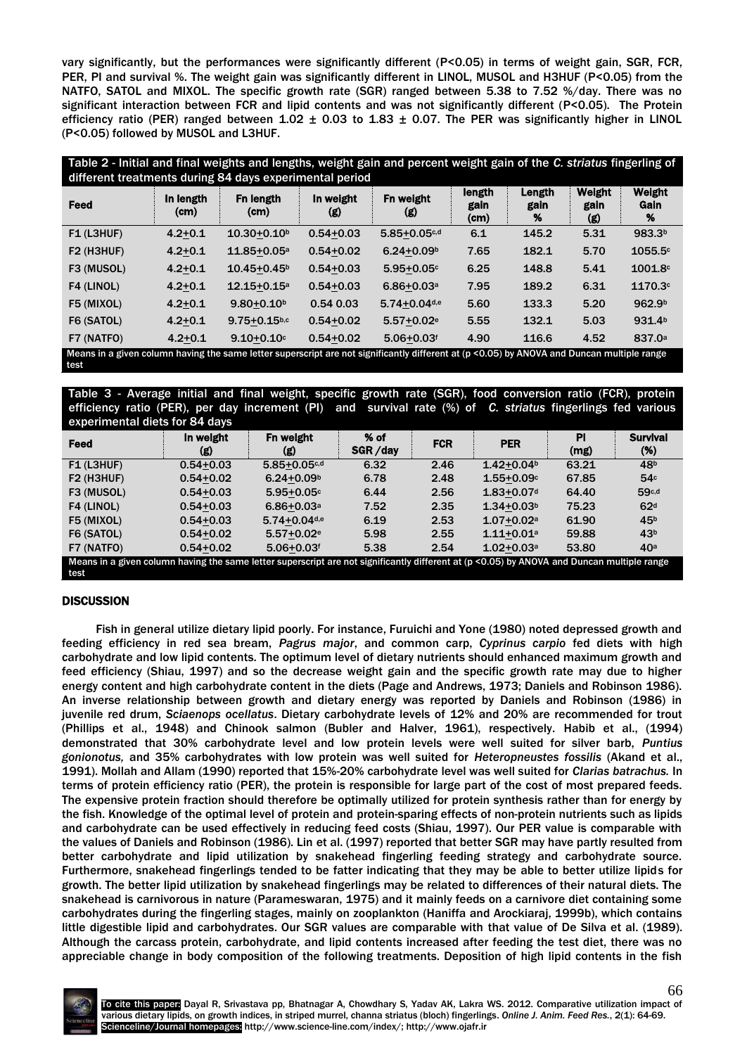vary significantly, but the performances were significantly different (P<0.05) in terms of weight gain, SGR, FCR, PER, PI and survival %. The weight gain was significantly different in LINOL, MUSOL and H3HUF (P<0.05) from the NATFO, SATOL and MIXOL. The specific growth rate (SGR) ranged between 5.38 to 7.52 %/day. There was no significant interaction between FCR and lipid contents and was not significantly different (P<0.05). The Protein efficiency ratio (PER) ranged between  $1.02 \pm 0.03$  to  $1.83 \pm 0.07$ . The PER was significantly higher in LINOL (P<0.05) followed by MUSOL and L3HUF.

Table 2 - Initial and final weights and lengths, weight gain and percent weight gain of the *C. striatus* fingerling of different treatments during 84 days experimental period

| Feed                                                                                                                                                | In length<br>(cm) | Fn length<br>(cm)            | In weight<br>(g) | Fn weight<br>(g)           | length<br>gain<br>(cm) | Length<br>gain<br>% | <b>Weight</b><br>gain<br>(g) | Weight<br>Gain<br>% |
|-----------------------------------------------------------------------------------------------------------------------------------------------------|-------------------|------------------------------|------------------|----------------------------|------------------------|---------------------|------------------------------|---------------------|
| F1 (L3HUF)                                                                                                                                          | $4.2 + 0.1$       | $10.30 + 0.10b$              | $0.54 + 0.03$    | $5.85 + 0.05$ c,d          | 6.1                    | 145.2               | 5.31                         | 983.3 <sup>b</sup>  |
| F2 (H3HUF)                                                                                                                                          | $4.2 + 0.1$       | 11.85+0.05 <sup>a</sup>      | $0.54 + 0.02$    | $6.24 + 0.09b$             | 7.65                   | 182.1               | 5.70                         | 1055.5c             |
| F3 (MUSOL)                                                                                                                                          | $4.2 + 0.1$       | $10.45 + 0.45$ <sup>b</sup>  | $0.54 + 0.03$    | $5.95 + 0.05c$             | 6.25                   | 148.8               | 5.41                         | 1001.8c             |
| F4 (LINOL)                                                                                                                                          | $4.2 + 0.1$       | $12.15 + 0.15$ <sup>a</sup>  | $0.54 + 0.03$    | $6.86 + 0.03$ <sup>a</sup> | 7.95                   | 189.2               | 6.31                         | 1170.3c             |
| F5 (MIXOL)                                                                                                                                          | $4.2 + 0.1$       | $9.80 + 0.10b$               | 0.540.03         | 5.74+0.04d,e               | 5.60                   | 133.3               | 5.20                         | 962.9 <sup>b</sup>  |
| F6 (SATOL)                                                                                                                                          | $4.2 + 0.1$       | $9.75 + 0.15$ <sub>b,c</sub> | $0.54 + 0.02$    | $5.57 + 0.02e$             | 5.55                   | 132.1               | 5.03                         | 931.4 <sup>b</sup>  |
| F7 (NATFO)                                                                                                                                          | $4.2 + 0.1$       | $9.10 + 0.10$                | $0.54 + 0.02$    | $5.06 + 0.03$ <sup>f</sup> | 4.90                   | 116.6               | 4.52                         | 837.0 <sup>a</sup>  |
| Means in a given column having the same letter superscript are not significantly different at (p < 0.05) by ANOVA and Duncan multiple range<br>test |                   |                              |                  |                            |                        |                     |                              |                     |

Table 3 - Average initial and final weight, specific growth rate (SGR), food conversion ratio (FCR), protein efficiency ratio (PER), per day increment (PI) and survival rate (%) of *C. striatus* fingerlings fed various experimental diets for 84 days

| CAPCITITION OF OUR OLD USE OF GUYS                                                                                                         |                  |                            |                   |            |                            |            |                        |  |  |
|--------------------------------------------------------------------------------------------------------------------------------------------|------------------|----------------------------|-------------------|------------|----------------------------|------------|------------------------|--|--|
| Feed                                                                                                                                       | In weight<br>(g) | Fn weight<br>(g)           | $%$ of<br>SGR/day | <b>FCR</b> | <b>PER</b>                 | PI<br>(mg) | <b>Survival</b><br>(%) |  |  |
| F1 (L3HUF)                                                                                                                                 | $0.54 + 0.03$    | $5.85 + 0.05$ c,d          | 6.32              | 2.46       | $1.42 + 0.04b$             | 63.21      | 48 <sup>b</sup>        |  |  |
| F2 (H3HUF)                                                                                                                                 | $0.54 + 0.02$    | $6.24 + 0.09b$             | 6.78              | 2.48       | $1.55 + 0.09c$             | 67.85      | 54c                    |  |  |
| F3 (MUSOL)                                                                                                                                 | $0.54 + 0.03$    | $5.95 + 0.05c$             | 6.44              | 2.56       | $1.83 + 0.07$ d            | 64.40      | 59 <sub>c,d</sub>      |  |  |
| F4 (LINOL)                                                                                                                                 | $0.54 + 0.03$    | $6.86 + 0.03a$             | 7.52              | 2.35       | $1.34 + 0.03b$             | 75.23      | 62 <sup>d</sup>        |  |  |
| F5 (MIXOL)                                                                                                                                 | $0.54 + 0.03$    | 5.74+0.04d,e               | 6.19              | 2.53       | $1.07 + 0.02a$             | 61.90      | 45 <sup>b</sup>        |  |  |
| F6 (SATOL)                                                                                                                                 | $0.54 + 0.02$    | $5.57 + 0.02e$             | 5.98              | 2.55       | $1.11+0.01a$               | 59.88      | 43 <sup>b</sup>        |  |  |
| F7 (NATFO)                                                                                                                                 | $0.54 + 0.02$    | $5.06 + 0.03$ <sup>f</sup> | 5.38              | 2.54       | $1.02 + 0.03$ <sup>a</sup> | 53.80      | 40 <sup>a</sup>        |  |  |
| Means in a given column having the same letter superscript are not significantly different at (p <0.05) by ANOVA and Duncan multiple range |                  |                            |                   |            |                            |            |                        |  |  |
| test                                                                                                                                       |                  |                            |                   |            |                            |            |                        |  |  |

## **DISCUSSION**

Fish in general utilize dietary lipid poorly. For instance, Furuichi and Yone (1980) noted depressed growth and feeding efficiency in red sea bream, *Pagrus major*, and common carp, *Cyprinus carpio* fed diets with high carbohydrate and low lipid contents. The optimum level of dietary nutrients should enhanced maximum growth and feed efficiency (Shiau, 1997) and so the decrease weight gain and the specific growth rate may due to higher energy content and high carbohydrate content in the diets (Page and Andrews, 1973; Daniels and Robinson 1986). An inverse relationship between growth and dietary energy was reported by Daniels and Robinson (1986) in juvenile red drum, *Sciaenops ocellatus*. Dietary carbohydrate levels of 12% and 20% are recommended for trout (Phillips et al., 1948) and Chinook salmon (Bubler and Halver, 1961), respectively. Habib et al., (1994) demonstrated that 30% carbohydrate level and low protein levels were well suited for silver barb, *Puntius gonionotus,* and 35% carbohydrates with low protein was well suited for *Heteropneustes fossilis* (Akand et al., 1991). Mollah and Allam (1990) reported that 15%-20% carbohydrate level was well suited for *Clarias batrachus.* In terms of protein efficiency ratio (PER), the protein is responsible for large part of the cost of most prepared feeds. The expensive protein fraction should therefore be optimally utilized for protein synthesis rather than for energy by the fish. Knowledge of the optimal level of protein and protein-sparing effects of non-protein nutrients such as lipids and carbohydrate can be used effectively in reducing feed costs (Shiau, 1997). Our PER value is comparable with the values of Daniels and Robinson (1986). Lin et al. (1997) reported that better SGR may have partly resulted from better carbohydrate and lipid utilization by snakehead fingerling feeding strategy and carbohydrate source. Furthermore, snakehead fingerlings tended to be fatter indicating that they may be able to better utilize lipids for growth. The better lipid utilization by snakehead fingerlings may be related to differences of their natural diets. The snakehead is carnivorous in nature (Parameswaran, 1975) and it mainly feeds on a carnivore diet containing some carbohydrates during the fingerling stages, mainly on zooplankton (Haniffa and Arockiaraj, 1999b), which contains little digestible lipid and carbohydrates. Our SGR values are comparable with that value of De Silva et al. (1989). Although the carcass protein, carbohydrate, and lipid contents increased after feeding the test diet, there was no appreciable change in body composition of the following treatments. Deposition of high lipid contents in the fish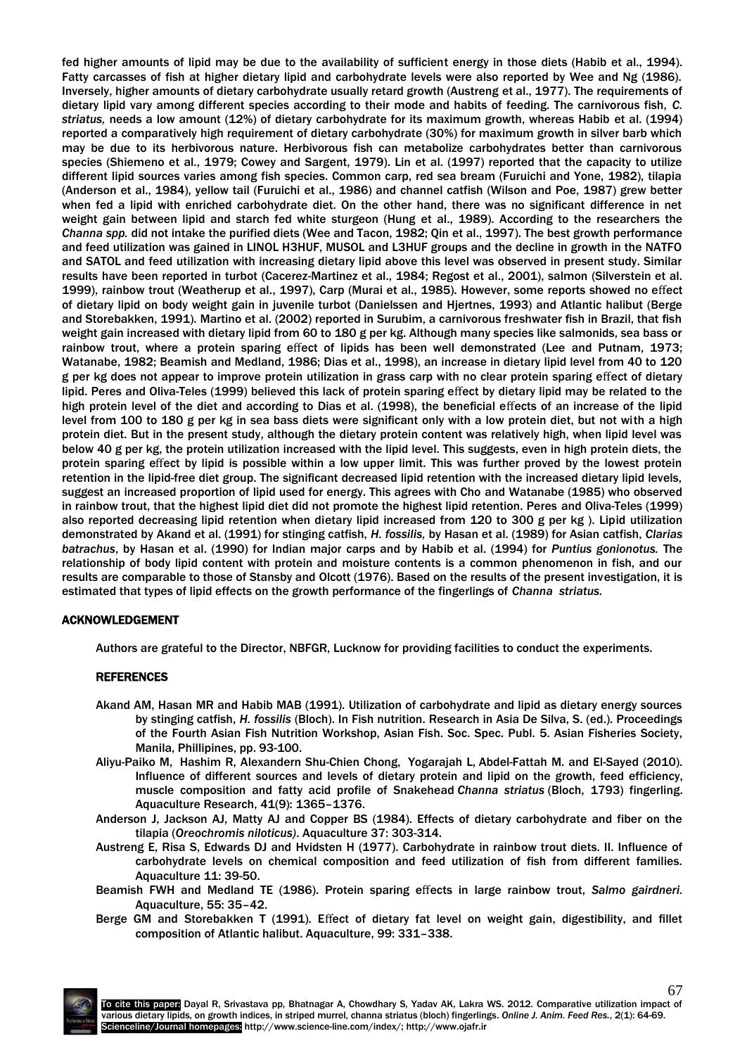fed higher amounts of lipid may be due to the availability of sufficient energy in those diets (Habib et al., 1994). Fatty carcasses of fish at higher dietary lipid and carbohydrate levels were also reported by Wee and Ng (1986). Inversely, higher amounts of dietary carbohydrate usually retard growth (Austreng et al., 1977). The requirements of dietary lipid vary among different species according to their mode and habits of feeding. The carnivorous fish, *C. striatus,* needs a low amount (12%) of dietary carbohydrate for its maximum growth, whereas Habib et al. (1994) reported a comparatively high requirement of dietary carbohydrate (30%) for maximum growth in silver barb which may be due to its herbivorous nature. Herbivorous fish can metabolize carbohydrates better than carnivorous species (Shiemeno et al., 1979; Cowey and Sargent, 1979). Lin et al. (1997) reported that the capacity to utilize different lipid sources varies among fish species. Common carp, red sea bream (Furuichi and Yone, 1982), tilapia (Anderson et al., 1984), yellow tail (Furuichi et al., 1986) and channel catfish (Wilson and Poe, 1987) grew better when fed a lipid with enriched carbohydrate diet. On the other hand, there was no significant difference in net weight gain between lipid and starch fed white sturgeon (Hung et al., 1989). According to the researchers the *Channa spp.* did not intake the purified diets (Wee and Tacon, 1982; Qin et al., 1997). The best growth performance and feed utilization was gained in LINOL H3HUF, MUSOL and L3HUF groups and the decline in growth in the NATFO and SATOL and feed utilization with increasing dietary lipid above this level was observed in present study. Similar results have been reported in turbot (Cacerez-Martinez et al., 1984; Regost et al., 2001), salmon (Silverstein et al. 1999), rainbow trout (Weatherup et al., 1997), Carp (Murai et al., 1985). However, some reports showed no effect of dietary lipid on body weight gain in juvenile turbot (Danielssen and Hjertnes, 1993) and Atlantic halibut (Berge and Storebakken, 1991). Martino et al. (2002) reported in Surubim, a carnivorous freshwater fish in Brazil, that fish weight gain increased with dietary lipid from 60 to 180 g per kg. Although many species like salmonids, sea bass or rainbow trout, where a protein sparing effect of lipids has been well demonstrated (Lee and Putnam, 1973; Watanabe, 1982; Beamish and Medland, 1986; Dias et al., 1998), an increase in dietary lipid level from 40 to 120 g per kg does not appear to improve protein utilization in grass carp with no clear protein sparing effect of dietary lipid. Peres and Oliva-Teles (1999) believed this lack of protein sparing effect by dietary lipid may be related to the high protein level of the diet and according to Dias et al. (1998), the beneficial effects of an increase of the lipid level from 100 to 180 g per kg in sea bass diets were significant only with a low protein diet, but not with a high protein diet. But in the present study, although the dietary protein content was relatively high, when lipid level was below 40 g per kg, the protein utilization increased with the lipid level. This suggests, even in high protein diets, the protein sparing effect by lipid is possible within a low upper limit. This was further proved by the lowest protein retention in the lipid-free diet group. The significant decreased lipid retention with the increased dietary lipid levels, suggest an increased proportion of lipid used for energy. This agrees with Cho and Watanabe (1985) who observed in rainbow trout, that the highest lipid diet did not promote the highest lipid retention. Peres and Oliva-Teles (1999) also reported decreasing lipid retention when dietary lipid increased from 120 to 300 g per kg ). Lipid utilization demonstrated by Akand et al. (1991) for stinging catfish, *H. fossilis,* by Hasan et al. (1989) for Asian catfish, *Clarias batrachus*, by Hasan et al. (1990) for Indian major carps and by Habib et al. (1994) for *Puntius gonionotus.* The relationship of body lipid content with protein and moisture contents is a common phenomenon in fish, and our results are comparable to those of Stansby and Olcott (1976). Based on the results of the present investigation, it is estimated that types of lipid effects on the growth performance of the fingerlings of *Channa striatus.*

## ACKNOWLEDGEMENT

Authors are grateful to the Director, NBFGR, Lucknow for providing facilities to conduct the experiments.

## **REFERENCES**

- Akand AM, Hasan MR and Habib MAB (1991). Utilization of carbohydrate and lipid as dietary energy sources by stinging catfish, *H. fossilis* (Bloch). In Fish nutrition. Research in Asia De Silva, S. (ed.). Proceedings of the Fourth Asian Fish Nutrition Workshop, Asian Fish. Soc. Spec. Publ. 5. Asian Fisheries Society, Manila, Phillipines, pp. 93-100.
- Aliyu-Paiko M, Hashim R, Alexandern Shu-Chien Chong, Yogarajah L, Abdel-Fattah M. and El-Sayed (2010). Influence of different sources and levels of dietary protein and lipid on the growth, feed efficiency, muscle composition and fatty acid profile of Snakehead *Channa striatus* (Bloch, 1793) fingerling. Aquaculture Research[, 41\(9\):](http://onlinelibrary.wiley.com/doi/10.1111/are.2010.41.issue-9/issuetoc) 1365–1376.
- Anderson J, Jackson AJ, Matty AJ and Copper BS (1984). Effects of dietary carbohydrate and fiber on the tilapia (*Oreochromis niloticus)*. Aquaculture 37: 303-314.
- Austreng E, Risa S, Edwards DJ and Hvidsten H (1977). Carbohydrate in rainbow trout diets. II. Influence of carbohydrate levels on chemical composition and feed utilization of fish from different families. Aquaculture 11: 39-50.
- Beamish FWH and Medland TE (1986). Protein sparing effects in large rainbow trout, *Salmo gairdneri.*  Aquaculture, 55: 35–42.
- Berge GM and Storebakken T (1991). Effect of dietary fat level on weight gain, digestibility, and fillet composition of Atlantic halibut. Aquaculture, 99: 331–338.

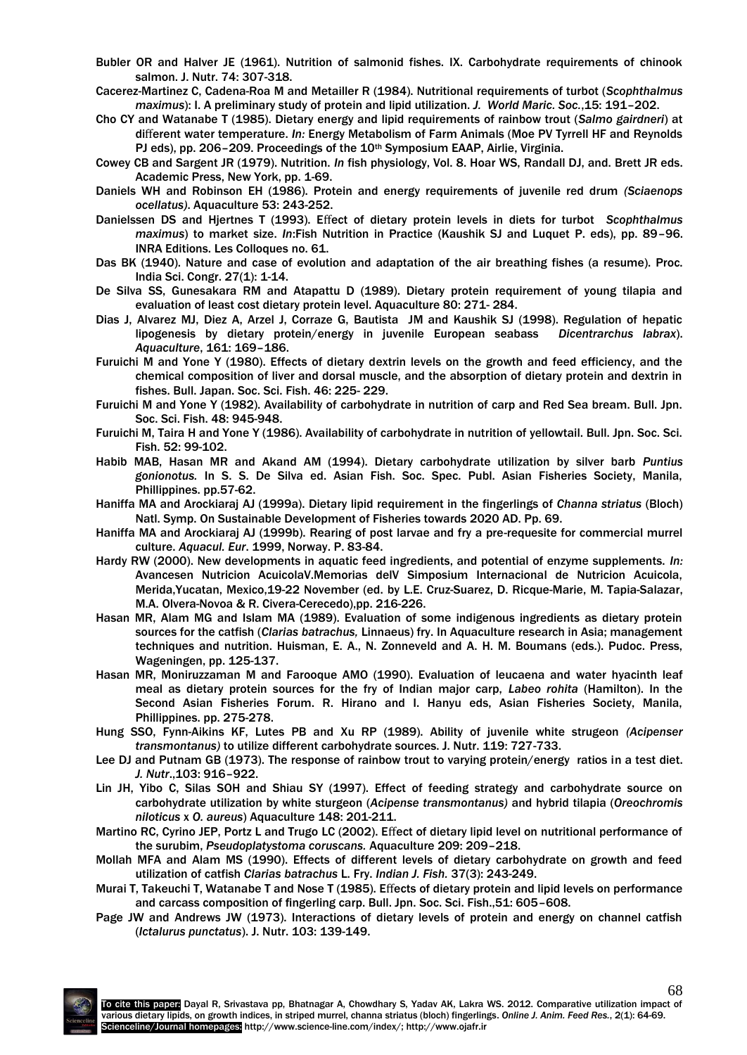- Bubler OR and Halver JE (1961). Nutrition of salmonid fishes. IX. Carbohydrate requirements of chinook salmon. J. Nutr. 74: 307-318.
- Cacerez-Martinez C, Cadena-Roa M and Metailler R (1984). Nutritional requirements of turbot (*Scophthalmus maximus*): I. A preliminary study of protein and lipid utilization. *J. World Maric. Soc.*,15: 191–202.
- Cho CY and Watanabe T (1985). Dietary energy and lipid requirements of rainbow trout (*Salmo gairdneri*) at different water temperature. *In:* Energy Metabolism of Farm Animals (Moe PV Tyrrell HF and Reynolds PJ eds), pp. 206-209. Proceedings of the 10<sup>th</sup> Symposium EAAP, Airlie, Virginia.
- Cowey CB and Sargent JR (1979). Nutrition. *In* fish physiology, Vol. 8. Hoar WS, Randall DJ, and. Brett JR eds. Academic Press, New York, pp. 1-69.
- Daniels WH and Robinson EH (1986). Protein and energy requirements of juvenile red drum *(Sciaenops ocellatus)*. Aquaculture 53: 243-252.
- Danielssen DS and Hjertnes T (1993). Effect of dietary protein levels in diets for turbot *Scophthalmus maximus*) to market size. *In*:Fish Nutrition in Practice (Kaushik SJ and Luquet P. eds), pp. 89–96. INRA Editions. Les Colloques no. 61.
- Das BK (1940). Nature and case of evolution and adaptation of the air breathing fishes (a resume). Proc. India Sci. Congr. 27(1): 1-14.
- De Silva SS, Gunesakara RM and Atapattu D (1989). Dietary protein requirement of young tilapia and evaluation of least cost dietary protein level. Aquaculture 80: 271- 284.
- Dias J, Alvarez MJ, Diez A, Arzel J, Corraze G, Bautista JM and Kaushik SJ (1998). Regulation of hepatic lipogenesis by dietary protein/energy in juvenile European seabass *Dicentrarchus labrax*). *Aquaculture*, 161: 169–186.
- Furuichi M and Yone Y (1980). Effects of dietary dextrin levels on the growth and feed efficiency, and the chemical composition of liver and dorsal muscle, and the absorption of dietary protein and dextrin in fishes. Bull. Japan. Soc. Sci. Fish. 46: 225- 229.
- Furuichi M and Yone Y (1982). Availability of carbohydrate in nutrition of carp and Red Sea bream. Bull. Jpn. Soc. Sci. Fish. 48: 945-948.
- Furuichi M, Taira H and Yone Y (1986). Availability of carbohydrate in nutrition of yellowtail. Bull. Jpn. Soc. Sci. Fish. 52: 99-102.
- Habib MAB, Hasan MR and Akand AM (1994). Dietary carbohydrate utilization by silver barb *Puntius gonionotus.* In S. S. De Silva ed. Asian Fish. Soc. Spec. Publ. Asian Fisheries Society, Manila, Phillippines. pp.57-62.
- Haniffa MA and Arockiaraj AJ (1999a). Dietary lipid requirement in the fingerlings of *Channa striatus* (Bloch) Natl. Symp. On Sustainable Development of Fisheries towards 2020 AD. Pp. 69.
- Haniffa MA and Arockiaraj AJ (1999b). Rearing of post larvae and fry a pre-requesite for commercial murrel culture. *Aquacul. Eur*. 1999, Norway. P. 83-84.
- Hardy RW (2000). New developments in aquatic feed ingredients, and potential of enzyme supplements. *In:* Avancesen Nutricion AcuicolaV.Memorias delV Simposium Internacional de Nutricion Acuicola, Merida,Yucatan, Mexico,19-22 November (ed. by L.E. Cruz-Suarez, D. Ricque-Marie, M. Tapia-Salazar, M.A. Olvera-Novoa & R. Civera-Cerecedo),pp. 216-226.
- Hasan MR, Alam MG and Islam MA (1989). Evaluation of some indigenous ingredients as dietary protein sources for the catfish (*Clarias batrachus,* Linnaeus) fry. In Aquaculture research in Asia; management techniques and nutrition. Huisman, E. A., N. Zonneveld and A. H. M. Boumans (eds.). Pudoc. Press, Wageningen, pp. 125-137.
- Hasan MR, Moniruzzaman M and Farooque AMO (1990). Evaluation of leucaena and water hyacinth leaf meal as dietary protein sources for the fry of Indian major carp, *Labeo rohita* (Hamilton). In the Second Asian Fisheries Forum. R. Hirano and I. Hanyu eds, Asian Fisheries Society, Manila, Phillippines. pp. 275-278.
- Hung SSO, Fynn-Aikins KF, Lutes PB and Xu RP (1989). Ability of juvenile white strugeon *(Acipenser transmontanus)* to utilize different carbohydrate sources. J. Nutr. 119: 727-733.
- Lee DJ and Putnam GB (1973). The response of rainbow trout to varying protein/energy ratios in a test diet. *J. Nutr*.,103: 916–922.
- Lin JH, Yibo C, Silas SOH and Shiau SY (1997). Effect of feeding strategy and carbohydrate source on carbohydrate utilization by white sturgeon (*Acipense transmontanus)* and hybrid tilapia (*Oreochromis niloticus* x *O. aureus*) Aquaculture 148: 201-211.
- Martino RC, Cyrino JEP, Portz L and Trugo LC (2002). Effect of dietary lipid level on nutritional performance of the surubim, *Pseudoplatystoma coruscans.* Aquaculture 209: 209–218.
- Mollah MFA and Alam MS (1990). Effects of different levels of dietary carbohydrate on growth and feed utilization of catfish *Clarias batrachus* L. Fry. *Indian J. Fish.* 37(3): 243-249.
- Murai T, Takeuchi T, Watanabe T and Nose T (1985). Effects of dietary protein and lipid levels on performance and carcass composition of fingerling carp. Bull. Jpn. Soc. Sci. Fish.,51: 605–608.
- Page JW and Andrews JW (1973). Interactions of dietary levels of protein and energy on channel catfish (*Ictalurus punctatus*). J. Nutr. 103: 139-149.